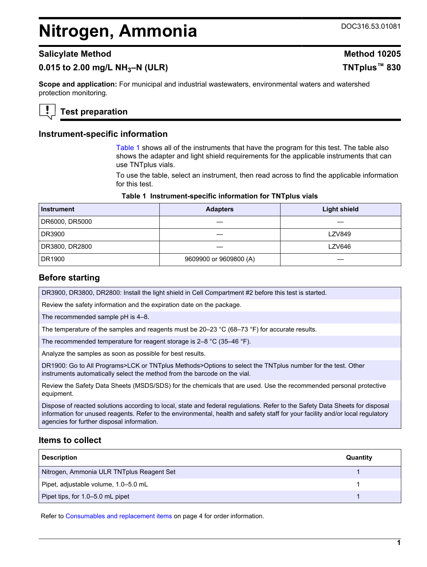# <span id="page-0-0"></span>**Nitrogen, Ammonia** DOC316.53.01081

# **0.015 to 2.00 mg/L NH3–N (ULR) TNTplus™ 830**

**Scope and application:** For municipal and industrial wastewaters, environmental waters and watershed protection monitoring.

**Test preparation**

## **Instrument-specific information**

Table 1 shows all of the instruments that have the program for this test. The table also shows the adapter and light shield requirements for the applicable instruments that can use TNTplus vials.

To use the table, select an instrument, then read across to find the applicable information for this test.

#### **Table 1 Instrument-specific information for TNTplus vials**

| <b>Instrument</b> | <b>Adapters</b>        | <b>Light shield</b> |
|-------------------|------------------------|---------------------|
| DR6000, DR5000    |                        |                     |
| DR3900            |                        | <b>LZV849</b>       |
| DR3800, DR2800    |                        | <b>LZV646</b>       |
| DR1900            | 9609900 or 9609800 (A) |                     |

## **Before starting**

DR3900, DR3800, DR2800: Install the light shield in Cell Compartment #2 before this test is started.

Review the safety information and the expiration date on the package.

The recommended sample pH is 4–8.

The temperature of the samples and reagents must be 20–23 °C (68–73 °F) for accurate results.

The recommended temperature for reagent storage is 2–8 °C (35–46 °F).

Analyze the samples as soon as possible for best results.

DR1900: Go to All Programs>LCK or TNTplus Methods>Options to select the TNTplus number for the test. Other instruments automatically select the method from the barcode on the vial.

Review the Safety Data Sheets (MSDS/SDS) for the chemicals that are used. Use the recommended personal protective equipment.

Dispose of reacted solutions according to local, state and federal regulations. Refer to the Safety Data Sheets for disposal information for unused reagents. Refer to the environmental, health and safety staff for your facility and/or local regulatory agencies for further disposal information.

## **Items to collect**

| <b>Description</b>                        | Quantity |
|-------------------------------------------|----------|
| Nitrogen, Ammonia ULR TNTplus Reagent Set |          |
| Pipet, adjustable volume, 1.0-5.0 mL      |          |
| Pipet tips, for 1.0-5.0 mL pipet          |          |

Refer to [Consumables and replacement items](#page-3-0) on page 4 for order information.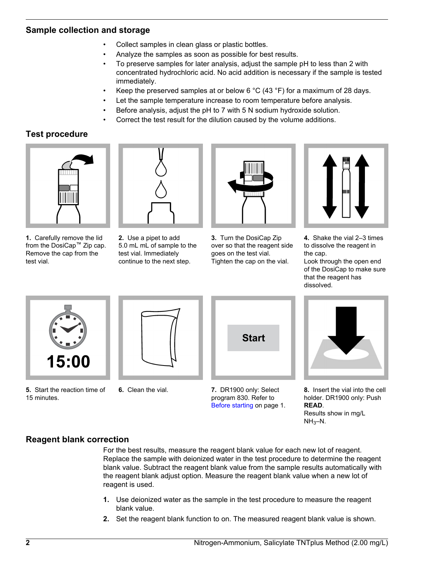## **Sample collection and storage**

- Collect samples in clean glass or plastic bottles.
- Analyze the samples as soon as possible for best results.
- To preserve samples for later analysis, adjust the sample pH to less than 2 with concentrated hydrochloric acid. No acid addition is necessary if the sample is tested immediately.
- Keep the preserved samples at or below 6  $^{\circ}$ C (43  $^{\circ}$ F) for a maximum of 28 days.
- Let the sample temperature increase to room temperature before analysis.
- Before analysis, adjust the pH to 7 with 5 N sodium hydroxide solution.
- Correct the test result for the dilution caused by the volume additions.

# **Test procedure**



**1.** Carefully remove the lid from the DosiCap™ Zip cap. Remove the cap from the test vial.



**2.** Use a pipet to add 5.0 mL mL of sample to the test vial. Immediately continue to the next step.



**3.** Turn the DosiCap Zip over so that the reagent side goes on the test vial. Tighten the cap on the vial.



**4.** Shake the vial 2–3 times to dissolve the reagent in the cap.

Look through the open end of the DosiCap to make sure that the reagent has dissolved.



**5.** Start the reaction time of 15 minutes.



**6.** Clean the vial.



**7.** DR1900 only: Select program 830. Refer to [Before starting](#page-0-0) on page 1.



**8.** Insert the vial into the cell holder. DR1900 only: Push **READ**. Results show in mg/L  $NH<sub>3</sub>-N.$ 

# **Reagent blank correction**

For the best results, measure the reagent blank value for each new lot of reagent. Replace the sample with deionized water in the test procedure to determine the reagent blank value. Subtract the reagent blank value from the sample results automatically with the reagent blank adjust option. Measure the reagent blank value when a new lot of reagent is used.

- **1.** Use deionized water as the sample in the test procedure to measure the reagent blank value.
- **2.** Set the reagent blank function to on. The measured reagent blank value is shown.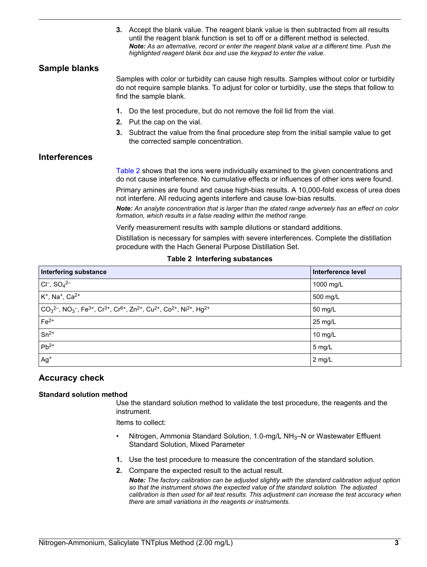**3.** Accept the blank value. The reagent blank value is then subtracted from all results until the reagent blank function is set to off or a different method is selected. *Note: As an alternative, record or enter the reagent blank value at a different time. Push the highlighted reagent blank box and use the keypad to enter the value.*

## **Sample blanks**

Samples with color or turbidity can cause high results. Samples without color or turbidity do not require sample blanks. To adjust for color or turbidity, use the steps that follow to find the sample blank.

- **1.** Do the test procedure, but do not remove the foil lid from the vial.
- **2.** Put the cap on the vial.
- **3.** Subtract the value from the final procedure step from the initial sample value to get the corrected sample concentration.

## **Interferences**

Table 2 shows that the ions were individually examined to the given concentrations and do not cause interference. No cumulative effects or influences of other ions were found.

Primary amines are found and cause high-bias results. A 10,000-fold excess of urea does not interfere. All reducing agents interfere and cause low-bias results.

*Note: An analyte concentration that is larger than the stated range adversely has an effect on color formation, which results in a false reading within the method range.*

Verify measurement results with sample dilutions or standard additions.

Distillation is necessary for samples with severe interferences. Complete the distillation procedure with the Hach General Purpose Distillation Set.

#### **Table 2 Interfering substances**

| <b>Interfering substance</b>                                                                                                                                                                   | Interference level |
|------------------------------------------------------------------------------------------------------------------------------------------------------------------------------------------------|--------------------|
| $ Cl^-$ , $SO_4^{2-}$                                                                                                                                                                          | 1000 mg/L          |
| $K^+$ , Na <sup>+</sup> , Ca <sup>2+</sup>                                                                                                                                                     | 500 mg/L           |
| $ CO32$ , NO <sub>3</sub> <sup>-</sup> , Fe <sup>3+</sup> , Cr <sup>3+</sup> , Cr <sup>6+</sup> , Zn <sup>2+</sup> , Cu <sup>2+</sup> , Co <sup>2+</sup> , Ni <sup>2+</sup> , Hg <sup>2+</sup> | 50 mg/L            |
| $Fe2+$                                                                                                                                                                                         | $25 \text{ mg/L}$  |
| $Sn^{2+}$                                                                                                                                                                                      | 10 $mg/L$          |
| $Pb^{2+}$                                                                                                                                                                                      | 5 mg/L             |
| $Ag+$                                                                                                                                                                                          | 2 mg/L             |

## **Accuracy check**

#### **Standard solution method**

Use the standard solution method to validate the test procedure, the reagents and the instrument.

Items to collect:

- Nitrogen, Ammonia Standard Solution, 1.0-mg/L NH<sub>3</sub>-N or Wastewater Effluent Standard Solution, Mixed Parameter
- **1.** Use the test procedure to measure the concentration of the standard solution.
- **2.** Compare the expected result to the actual result.

*Note: The factory calibration can be adjusted slightly with the standard calibration adjust option so that the instrument shows the expected value of the standard solution. The adjusted calibration is then used for all test results. This adjustment can increase the test accuracy when there are small variations in the reagents or instruments.*